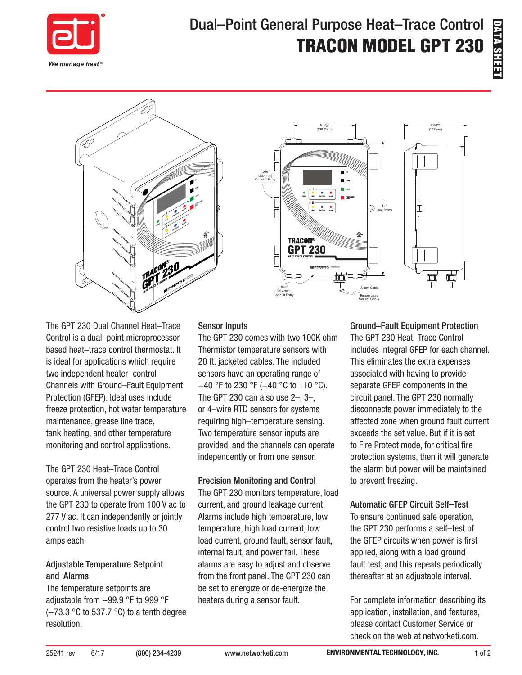

# Dual–Point General Purpose Heat–Trace Control TRACON MODEL GPT 230





The GPT 230 Dual Channel Heat–Trace Control is a dual–point microprocessor– based heat–trace control thermostat. It is ideal for applications which require two independent heater–control Channels with Ground–Fault Equipment Protection (GFEP). Ideal uses include freeze protection, hot water temperature maintenance, grease line trace, tank heating, and other temperature monitoring and control applications.

The GPT 230 Heat–Trace Control operates from the heater's power source. A universal power supply allows the GPT 230 to operate from 100 V ac to 277 V ac. It can independently or jointly control two resistive loads up to 30 amps each.

#### Adjustable Temperature Setpoint and Alarms

The temperature setpoints are adjustable from −99.9 °F to 999 °F (−73.3 °C to 537.7 °C) to a tenth degree resolution.

#### Sensor Inputs

The GPT 230 comes with two 100K ohm Thermistor temperature sensors with 20 ft. jacketed cables. The included sensors have an operating range of −40 °F to 230 °F (−40 °C to 110 °C). The GPT 230 can also use  $2-$ ,  $3-$ , or 4–wire RTD sensors for systems requiring high–temperature sensing. Two temperature sensor inputs are provided, and the channels can operate independently or from one sensor.

#### Precision Monitoring and Control

The GPT 230 monitors temperature, load current, and ground leakage current. Alarms include high temperature, low temperature, high load current, low load current, ground fault, sensor fault, internal fault, and power fail. These alarms are easy to adjust and observe from the front panel. The GPT 230 can be set to energize or de-energize the heaters during a sensor fault.

Ground–Fault Equipment Protection The GPT 230 Heat–Trace Control includes integral GFEP for each channel. This eliminates the extra expenses associated with having to provide separate GFEP components in the circuit panel. The GPT 230 normally disconnects power immediately to the affected zone when ground fault current exceeds the set value. But if it is set to Fire Protect mode, for critical fire protection systems, then it will generate the alarm but power will be maintained to prevent freezing.

## Automatic GFEP Circuit Self–Test

To ensure continued safe operation, the GPT 230 performs a self–test of the GFEP circuits when power is first applied, along with a load ground fault test, and this repeats periodically thereafter at an adjustable interval.

For complete information describing its application, installation, and features, please contact Customer Service or check on the web at networketi.com.